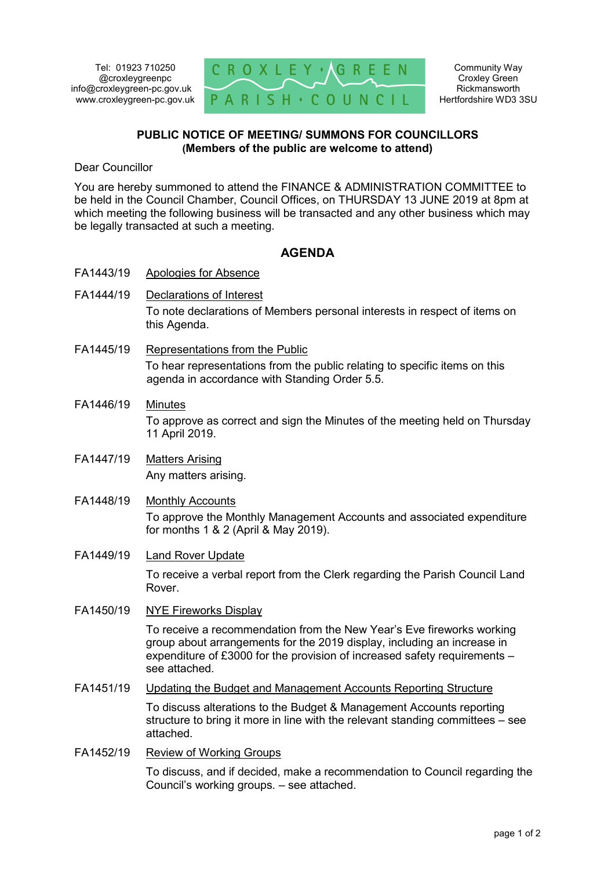

#### **PUBLIC NOTICE OF MEETING/ SUMMONS FOR COUNCILLORS (Members of the public are welcome to attend)**

Dear Councillor

You are hereby summoned to attend the FINANCE & ADMINISTRATION COMMITTEE to be held in the Council Chamber, Council Offices, on THURSDAY 13 JUNE 2019 at 8pm at which meeting the following business will be transacted and any other business which may be legally transacted at such a meeting.

# **AGENDA**

- FA1443/19 Apologies for Absence
- FA1444/19 Declarations of Interest To note declarations of Members personal interests in respect of items on this Agenda.
- FA1445/19 Representations from the Public To hear representations from the public relating to specific items on this agenda in accordance with Standing Order 5.5.
- FA1446/19 Minutes To approve as correct and sign the Minutes of the meeting held on Thursday 11 April 2019.
- FA1447/19 Matters Arising Any matters arising.
- FA1448/19 Monthly Accounts To approve the Monthly Management Accounts and associated expenditure for months 1 & 2 (April & May 2019).

## FA1449/19 Land Rover Update

To receive a verbal report from the Clerk regarding the Parish Council Land Rover.

FA1450/19 NYE Fireworks Display

To receive a recommendation from the New Year's Eve fireworks working group about arrangements for the 2019 display, including an increase in expenditure of £3000 for the provision of increased safety requirements – see attached.

FA1451/19 Updating the Budget and Management Accounts Reporting Structure

To discuss alterations to the Budget & Management Accounts reporting structure to bring it more in line with the relevant standing committees – see attached.

FA1452/19 Review of Working Groups

To discuss, and if decided, make a recommendation to Council regarding the Council's working groups. – see attached.